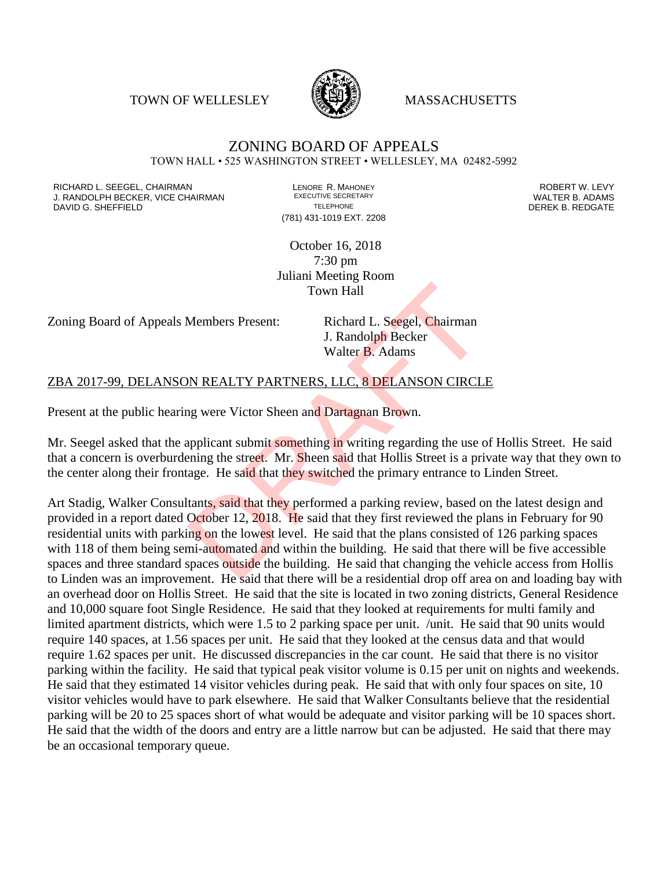TOWN OF WELLESLEY **WASSACHUSETTS** 



## ZONING BOARD OF APPEALS TOWN HALL • 525 WASHINGTON STREET • WELLESLEY, MA 02482-5992

RICHARD L. SEEGEL, CHAIRMAN LENORE R. MAHONEY ROBERT W. LEVY J. RANDOLPH BECKER, VICE CHAIRMAN EXECUTIVE SECRETARY OF TELEPHONE DAVID G. SHEFFIELD **TELEPHONE** TELEPHONE TELEPHONE **TELEPHONE DEREK B. REDGATE** 

(781) 431-1019 EXT. 2208

October 16, 2018 7:30 pm Juliani Meeting Room Town Hall

Zoning Board of Appeals Members Present: Richard L. Seegel, Chairman

J. Randolph Becker Walter B. Adams

## ZBA 2017-99, DELANSON REALTY PARTNERS, LLC, 8 DELANSON CIRCLE

Present at the public hearing were Victor Sheen and Dartagnan Brown.

Mr. Seegel asked that the applicant submit something in writing regarding the use of Hollis Street. He said that a concern is overburdening the street. Mr. Sheen said that Hollis Street is a private way that they own to the center along their frontage. He said that they switched the primary entrance to Linden Street.

Art Stadig, Walker Consultants, said that they performed a parking review, based on the latest design and provided in a report dated October 12, 2018. He said that they first reviewed the plans in February for 90 residential units with parking on the lowest level. He said that the plans consisted of 126 parking spaces with 118 of them being semi-automated and within the building. He said that there will be five accessible spaces and three standard spaces outside the building. He said that changing the vehicle access from Hollis to Linden was an improvement. He said that there will be a residential drop off area on and loading bay with an overhead door on Hollis Street. He said that the site is located in two zoning districts, General Residence and 10,000 square foot Single Residence. He said that they looked at requirements for multi family and limited apartment districts, which were 1.5 to 2 parking space per unit. /unit. He said that 90 units would require 140 spaces, at 1.56 spaces per unit. He said that they looked at the census data and that would require 1.62 spaces per unit. He discussed discrepancies in the car count. He said that there is no visitor parking within the facility. He said that typical peak visitor volume is 0.15 per unit on nights and weekends. He said that they estimated 14 visitor vehicles during peak. He said that with only four spaces on site, 10 visitor vehicles would have to park elsewhere. He said that Walker Consultants believe that the residential parking will be 20 to 25 spaces short of what would be adequate and visitor parking will be 10 spaces short. He said that the width of the doors and entry are a little narrow but can be adjusted. He said that there may be an occasional temporary queue. Town Hall<br>Members Present: Richard L. Seegel, Chairman<br>J. Randolph Becker<br>Walter B. Adams<br>DRAFTNERS, LLC, 8 DELANSON CIRCL<br>Ing were Victor Sheen and Dartagnan Brown.<br>applicant submit something in writing regarding the use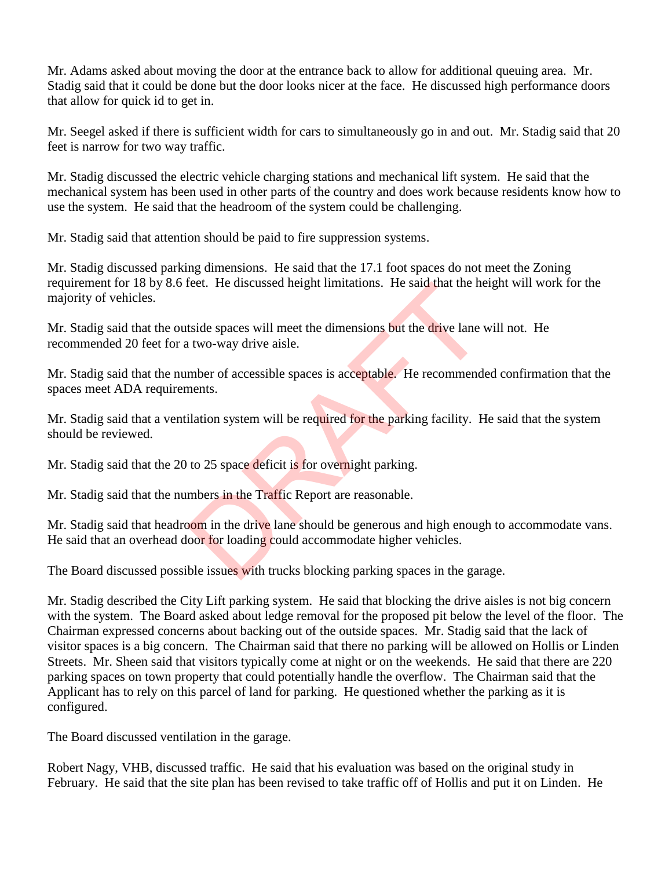Mr. Adams asked about moving the door at the entrance back to allow for additional queuing area. Mr. Stadig said that it could be done but the door looks nicer at the face. He discussed high performance doors that allow for quick id to get in.

Mr. Seegel asked if there is sufficient width for cars to simultaneously go in and out. Mr. Stadig said that 20 feet is narrow for two way traffic.

Mr. Stadig discussed the electric vehicle charging stations and mechanical lift system. He said that the mechanical system has been used in other parts of the country and does work because residents know how to use the system. He said that the headroom of the system could be challenging.

Mr. Stadig said that attention should be paid to fire suppression systems.

Mr. Stadig discussed parking dimensions. He said that the 17.1 foot spaces do not meet the Zoning requirement for 18 by 8.6 feet. He discussed height limitations. He said that the height will work for the majority of vehicles.

Mr. Stadig said that the outside spaces will meet the dimensions but the drive lane will not. He recommended 20 feet for a two-way drive aisle.

Mr. Stadig said that the number of accessible spaces is acceptable. He recommended confirmation that the spaces meet ADA requirements. reet. He discussed neight limitations. He said that the he<br>tside spaces will meet the dimensions but the drive lane v<br>two-way drive aisle.<br>mber of accessible spaces is acceptable. He recommends<br>ments.<br>ilation system will b

Mr. Stadig said that a ventilation system will be required for the parking facility. He said that the system should be reviewed.

Mr. Stadig said that the 20 to 25 space deficit is for overnight parking.

Mr. Stadig said that the numbers in the Traffic Report are reasonable.

Mr. Stadig said that headroom in the drive lane should be generous and high enough to accommodate vans. He said that an overhead door for loading could accommodate higher vehicles.

The Board discussed possible issues with trucks blocking parking spaces in the garage.

Mr. Stadig described the City Lift parking system. He said that blocking the drive aisles is not big concern with the system. The Board asked about ledge removal for the proposed pit below the level of the floor. The Chairman expressed concerns about backing out of the outside spaces. Mr. Stadig said that the lack of visitor spaces is a big concern. The Chairman said that there no parking will be allowed on Hollis or Linden Streets. Mr. Sheen said that visitors typically come at night or on the weekends. He said that there are 220 parking spaces on town property that could potentially handle the overflow. The Chairman said that the Applicant has to rely on this parcel of land for parking. He questioned whether the parking as it is configured.

The Board discussed ventilation in the garage.

Robert Nagy, VHB, discussed traffic. He said that his evaluation was based on the original study in February. He said that the site plan has been revised to take traffic off of Hollis and put it on Linden. He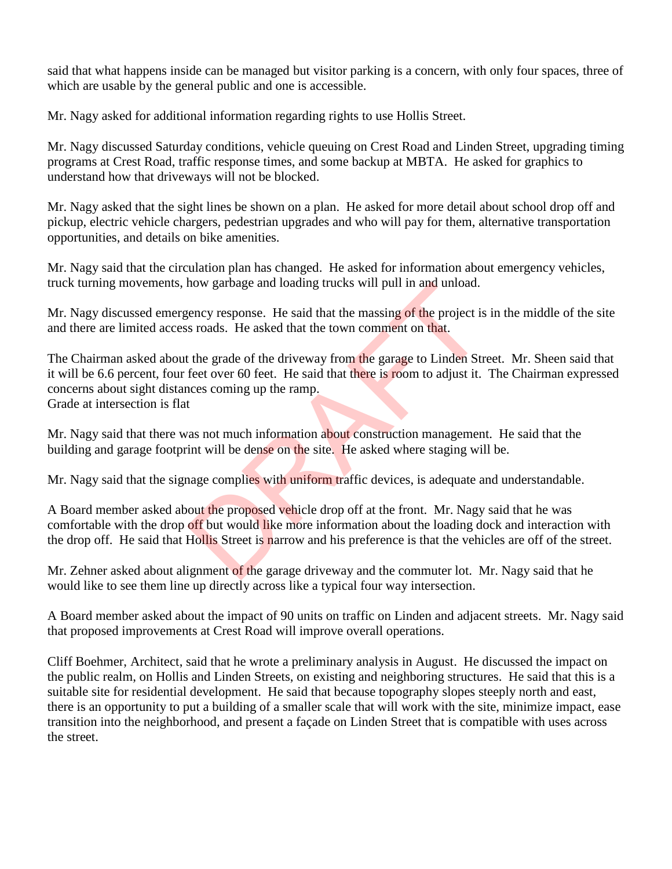said that what happens inside can be managed but visitor parking is a concern, with only four spaces, three of which are usable by the general public and one is accessible.

Mr. Nagy asked for additional information regarding rights to use Hollis Street.

Mr. Nagy discussed Saturday conditions, vehicle queuing on Crest Road and Linden Street, upgrading timing programs at Crest Road, traffic response times, and some backup at MBTA. He asked for graphics to understand how that driveways will not be blocked.

Mr. Nagy asked that the sight lines be shown on a plan. He asked for more detail about school drop off and pickup, electric vehicle chargers, pedestrian upgrades and who will pay for them, alternative transportation opportunities, and details on bike amenities.

Mr. Nagy said that the circulation plan has changed. He asked for information about emergency vehicles, truck turning movements, how garbage and loading trucks will pull in and unload.

Mr. Nagy discussed emergency response. He said that the massing of the project is in the middle of the site and there are limited access roads. He asked that the town comment on that.

The Chairman asked about the grade of the driveway from the garage to Linden Street. Mr. Sheen said that it will be 6.6 percent, four feet over 60 feet. He said that there is room to adjust it. The Chairman expressed concerns about sight distances coming up the ramp. Grade at intersection is flat mow garbage and loading trucks will pull in and unload.<br>
sency response. He said that the massing of the project is<br>
s roads. He asked that the town comment on that.<br>
the grade of the driveway from the garage to Linden Str

Mr. Nagy said that there was not much information about construction management. He said that the building and garage footprint will be dense on the site. He asked where staging will be.

Mr. Nagy said that the signage complies with uniform traffic devices, is adequate and understandable.

A Board member asked about the proposed vehicle drop off at the front. Mr. Nagy said that he was comfortable with the drop off but would like more information about the loading dock and interaction with the drop off. He said that Hollis Street is narrow and his preference is that the vehicles are off of the street.

Mr. Zehner asked about alignment of the garage driveway and the commuter lot. Mr. Nagy said that he would like to see them line up directly across like a typical four way intersection.

A Board member asked about the impact of 90 units on traffic on Linden and adjacent streets. Mr. Nagy said that proposed improvements at Crest Road will improve overall operations.

Cliff Boehmer, Architect, said that he wrote a preliminary analysis in August. He discussed the impact on the public realm, on Hollis and Linden Streets, on existing and neighboring structures. He said that this is a suitable site for residential development. He said that because topography slopes steeply north and east, there is an opportunity to put a building of a smaller scale that will work with the site, minimize impact, ease transition into the neighborhood, and present a façade on Linden Street that is compatible with uses across the street.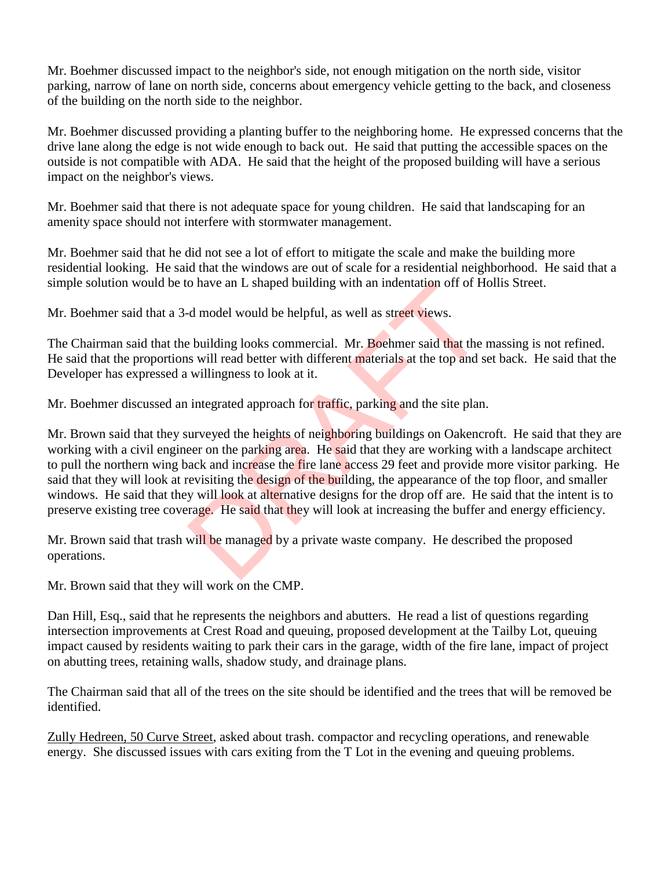Mr. Boehmer discussed impact to the neighbor's side, not enough mitigation on the north side, visitor parking, narrow of lane on north side, concerns about emergency vehicle getting to the back, and closeness of the building on the north side to the neighbor.

Mr. Boehmer discussed providing a planting buffer to the neighboring home. He expressed concerns that the drive lane along the edge is not wide enough to back out. He said that putting the accessible spaces on the outside is not compatible with ADA. He said that the height of the proposed building will have a serious impact on the neighbor's views.

Mr. Boehmer said that there is not adequate space for young children. He said that landscaping for an amenity space should not interfere with stormwater management.

Mr. Boehmer said that he did not see a lot of effort to mitigate the scale and make the building more residential looking. He said that the windows are out of scale for a residential neighborhood. He said that a simple solution would be to have an L shaped building with an indentation off of Hollis Street.

Mr. Boehmer said that a 3-d model would be helpful, as well as street views.

The Chairman said that the building looks commercial. Mr. Boehmer said that the massing is not refined. He said that the proportions will read better with different materials at the top and set back. He said that the Developer has expressed a willingness to look at it.

Mr. Boehmer discussed an integrated approach for traffic, parking and the site plan.

Mr. Brown said that they surveyed the heights of neighboring buildings on Oakencroft. He said that they are working with a civil engineer on the parking area. He said that they are working with a landscape architect to pull the northern wing back and increase the fire lane access 29 feet and provide more visitor parking. He said that they will look at revisiting the design of the building, the appearance of the top floor, and smaller windows. He said that they will look at alternative designs for the drop off are. He said that the intent is to preserve existing tree coverage. He said that they will look at increasing the buffer and energy efficiency. o have an L snaped building with an indentation off of H<br>d model would be helpful, as well as street views.<br>building looks commercial. Mr. Boehmer said that the<br>is will read better with different materials at the top and s

Mr. Brown said that trash will be managed by a private waste company. He described the proposed operations.

Mr. Brown said that they will work on the CMP.

Dan Hill, Esq., said that he represents the neighbors and abutters. He read a list of questions regarding intersection improvements at Crest Road and queuing, proposed development at the Tailby Lot, queuing impact caused by residents waiting to park their cars in the garage, width of the fire lane, impact of project on abutting trees, retaining walls, shadow study, and drainage plans.

The Chairman said that all of the trees on the site should be identified and the trees that will be removed be identified.

Zully Hedreen, 50 Curve Street, asked about trash. compactor and recycling operations, and renewable energy. She discussed issues with cars exiting from the T Lot in the evening and queuing problems.